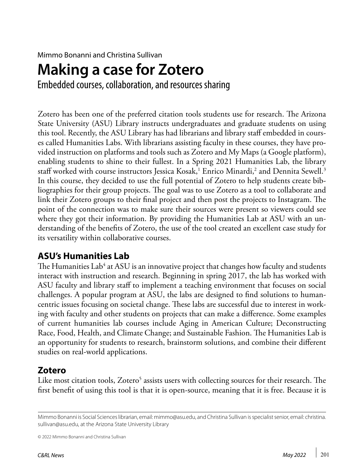Mimmo Bonanni and Christina Sullivan

# **Making a case for Zotero**

Embedded courses, collaboration, and resources sharing

Zotero has been one of the preferred citation tools students use for research. The Arizona State University (ASU) Library instructs undergraduates and graduate students on using this tool. Recently, the ASU Library has had librarians and library staff embedded in courses called Humanities Labs. With librarians assisting faculty in these courses, they have provided instruction on platforms and tools such as Zotero and My Maps (a Google platform), enabling students to shine to their fullest. In a Spring 2021 Humanities Lab, the library staff worked with course instructors Jessica Kosak, $^{\rm 1}$  Enrico Minardi, $^{\rm 2}$  and Dennita Sewell. $^{\rm 3}$ In this course, they decided to use the full potential of Zotero to help students create bibliographies for their group projects. The goal was to use Zotero as a tool to collaborate and link their Zotero groups to their final project and then post the projects to Instagram. The point of the connection was to make sure their sources were present so viewers could see where they got their information. By providing the Humanities Lab at ASU with an understanding of the benefits of Zotero, the use of the tool created an excellent case study for its versatility within collaborative courses.

## **ASU's Humanities Lab**

The Humanities Lab $^4$  at ASU is an innovative project that changes how faculty and students interact with instruction and research. Beginning in spring 2017, the lab has worked with ASU faculty and library staff to implement a teaching environment that focuses on social challenges. A popular program at ASU, the labs are designed to find solutions to humancentric issues focusing on societal change. These labs are successful due to interest in working with faculty and other students on projects that can make a difference. Some examples of current humanities lab courses include Aging in American Culture; Deconstructing Race, Food, Health, and Climate Change; and Sustainable Fashion. The Humanities Lab is an opportunity for students to research, brainstorm solutions, and combine their different studies on real-world applications.

# **Zotero**

Like most citation tools, Zotero<sup>5</sup> assists users with collecting sources for their research. The first benefit of using this tool is that it is open-source, meaning that it is free. Because it is

Mimmo Bonanni is Social Sciences librarian, email: [mimmo@asu.edu,](mailto:mimmo%40asu.edu?subject=) and Christina Sullivan is specialist senior, email: [christina.](mailto:christina.sullivan%40asu.edu?subject=) [sullivan@asu.edu](mailto:christina.sullivan%40asu.edu?subject=), at the Arizona State University Library

<sup>© 2022</sup> Mimmo Bonanni and Christina Sullivan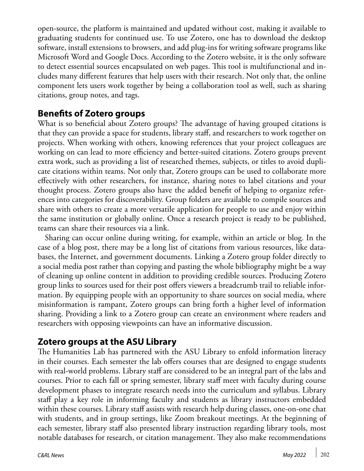open-source, the platform is maintained and updated without cost, making it available to graduating students for continued use. To use Zotero, one has to download the desktop software, install extensions to browsers, and add plug-ins for writing software programs like Microsoft Word and Google Docs. According to the Zotero website, it is the only software to detect essential sources encapsulated on web pages. This tool is multifunctional and includes many different features that help users with their research. Not only that, the online component lets users work together by being a collaboration tool as well, such as sharing citations, group notes, and tags.

#### **Benefits of Zotero groups**

What is so beneficial about Zotero groups? The advantage of having grouped citations is that they can provide a space for students, library staff, and researchers to work together on projects. When working with others, knowing references that your project colleagues are working on can lead to more efficiency and better-suited citations. Zotero groups prevent extra work, such as providing a list of researched themes, subjects, or titles to avoid duplicate citations within teams. Not only that, Zotero groups can be used to collaborate more effectively with other researchers, for instance, sharing notes to label citations and your thought process. Zotero groups also have the added benefit of helping to organize references into categories for discoverability. Group folders are available to compile sources and share with others to create a more versatile application for people to use and enjoy within the same institution or globally online. Once a research project is ready to be published, teams can share their resources via a link.

Sharing can occur online during writing, for example, within an article or blog. In the case of a blog post, there may be a long list of citations from various resources, like databases, the Internet, and government documents. Linking a Zotero group folder directly to a social media post rather than copying and pasting the whole bibliography might be a way of cleaning up online content in addition to providing credible sources. Producing Zotero group links to sources used for their post offers viewers a breadcrumb trail to reliable information. By equipping people with an opportunity to share sources on social media, where misinformation is rampant, Zotero groups can bring forth a higher level of information sharing. Providing a link to a Zotero group can create an environment where readers and researchers with opposing viewpoints can have an informative discussion.

## **Zotero groups at the ASU Library**

The Humanities Lab has partnered with the ASU Library to enfold information literacy in their courses. Each semester the lab offers courses that are designed to engage students with real-world problems. Library staff are considered to be an integral part of the labs and courses. Prior to each fall or spring semester, library staff meet with faculty during course development phases to integrate research needs into the curriculum and syllabus. Library staff play a key role in informing faculty and students as library instructors embedded within these courses. Library staff assists with research help during classes, one-on-one chat with students, and in group settings, like Zoom breakout meetings. At the beginning of each semester, library staff also presented library instruction regarding library tools, most notable databases for research, or citation management. They also make recommendations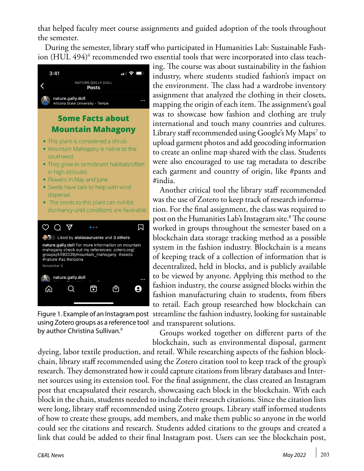that helped faculty meet course assignments and guided adoption of the tools throughout the semester.

During the semester, library staff who participated in Humanities Lab: Sustainable Fashion (HUL 494) $^{\rm 6}$  recommended two essential tools that were incorporated into class teach-



using Zotero groups as a reference tool by author Christina Sullivan.<sup>9</sup>

ing. The course was about sustainability in the fashion industry, where students studied fashion's impact on the environment. The class had a wardrobe inventory assignment that analyzed the clothing in their closets, mapping the origin of each item. The assignment's goal was to showcase how fashion and clothing are truly international and touch many countries and cultures. Library staff recommended using Google's My Maps<sup>7</sup> to upload garment photos and add geocoding information to create an online map shared with the class. Students were also encouraged to use tag metadata to describe each garment and country of origin, like #pants and #india.

Another critical tool the library staff recommended was the use of Zotero to keep track of research information. For the final assignment, the class was required to post on the Humanities Lab's Instagram site.8 The course worked in groups throughout the semester based on a blockchain data storage tracking method as a possible system in the fashion industry. Blockchain is a means of keeping track of a collection of information that is decentralized, held in blocks, and is publicly available to be viewed by anyone. Applying this method to the fashion industry, the course assigned blocks within the fashion manufacturing chain to students, from fibers to retail. Each group researched how blockchain can Figure 1. Example of an Instagram post streamline the fashion industry, looking for sustainable and transparent solutions.

> Groups worked together on different parts of the blockchain, such as environmental disposal, garment

dyeing, labor textile production, and retail. While researching aspects of the fashion blockchain, library staff recommended using the Zotero citation tool to keep track of the group's research. They demonstrated how it could capture citations from library databases and Internet sources using its extension tool. For the final assignment, the class created an Instagram post that encapsulated their research, showcasing each block in the blockchain. With each block in the chain, students needed to include their research citations. Since the citation lists were long, library staff recommended using Zotero groups. Library staff informed students of how to create these groups, add members, and make them public so anyone in the world could see the citations and research. Students added citations to the groups and created a link that could be added to their final Instagram post. Users can see the blockchain post,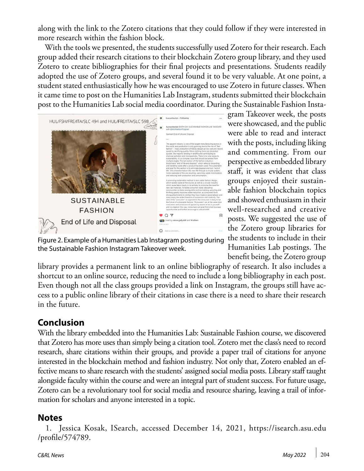along with the link to the Zotero citations that they could follow if they were interested in more research within the fashion block.

With the tools we presented, the students successfully used Zotero for their research. Each group added their research citations to their blockchain Zotero group library, and they used Zotero to create bibliographies for their final projects and presentations. Students readily adopted the use of Zotero groups, and several found it to be very valuable. At one point, a student stated enthusiastically how he was encouraged to use Zotero in future classes. When it came time to post on the Humanities Lab Instagram, students submitted their blockchain post to the Humanities Lab social media coordinator. During the Sustainable Fashion Insta-



gram Takeover week, the posts were showcased, and the public were able to read and interact with the posts, including liking and commenting. From our perspective as embedded library staff, it was evident that class groups enjoyed their sustainable fashion blockchain topics and showed enthusiasm in their well-researched and creative posts. We suggested the use of the Zotero group libraries for the students to include in their Humanities Lab postings. The benefit being, the Zotero group

Figure 2. Example of a Humanities Lab Instagram posting during the Sustainable Fashion Instagram Takeover week.

library provides a permanent link to an online bibliography of research. It also includes a shortcut to an online source, reducing the need to include a long bibliography in each post. Even though not all the class groups provided a link on Instagram, the groups still have access to a public online library of their citations in case there is a need to share their research in the future.

#### **Conclusion**

With the library embedded into the Humanities Lab: Sustainable Fashion course, we discovered that Zotero has more uses than simply being a citation tool. Zotero met the class's need to record research, share citations within their groups, and provide a paper trail of citations for anyone interested in the blockchain method and fashion industry. Not only that, Zotero enabled an effective means to share research with the students' assigned social media posts. Library staff taught alongside faculty within the course and were an integral part of student success. For future usage, Zotero can be a revolutionary tool for social media and resource sharing, leaving a trail of information for scholars and anyone interested in a topic.

#### **Notes**

1. Jessica Kosak, ISearch, accessed December 14, 2021, [https://isearch.asu.edu](https://isearch.asu.edu/profile/574789) [/profile/574789](https://isearch.asu.edu/profile/574789).